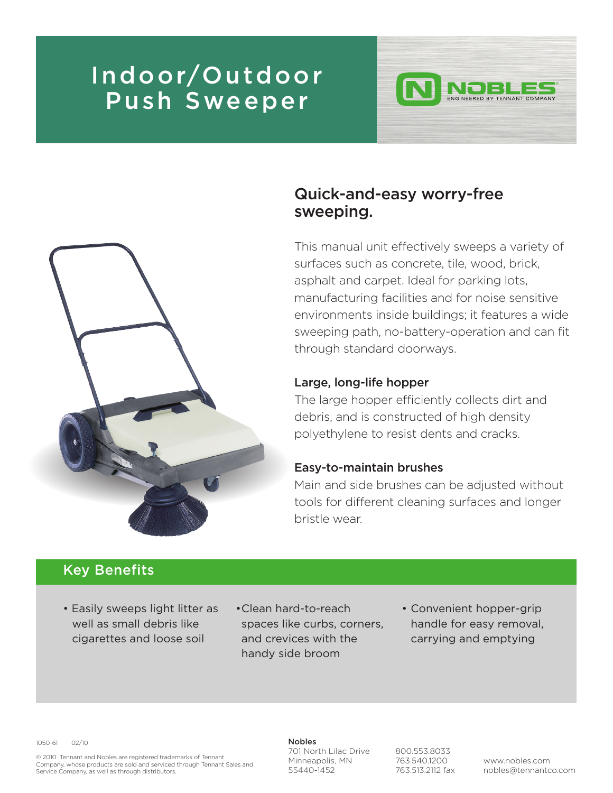# Indoor/Outdoor Push Sweeper





## Quick-and-easy worry-free sweeping.

This manual unit effectively sweeps a variety of surfaces such as concrete, tile, wood, brick, asphalt and carpet. Ideal for parking lots, manufacturing facilities and for noise sensitive environments inside buildings; it features a wide sweeping path, no-battery-operation and can fit through standard doorways.

#### Large, long-life hopper

The large hopper efficiently collects dirt and debris, and is constructed of high density polyethylene to resist dents and cracks.

#### Easy-to-maintain brushes

Main and side brushes can be adjusted without tools for different cleaning surfaces and longer bristle wear.

### Key Benefits

- Easily sweeps light litter as well as small debris like cigarettes and loose soil
- •Clean hard-to-reach spaces like curbs, corners, and crevices with the handy side broom
- Convenient hopper-grip handle for easy removal, carrying and emptying

1050-61 02/10

© 2010 Tennant and Nobles are registered trademarks of Tennant Company, whose products are sold and serviced through Tennant Sales and Service Company, as well as through distributors.

### Nobles

701 North Lilac Drive Minneapolis, MN 55440-1452

800.553.8033 763.540.1200 763.513.2112 fax

www.nobles.com nobles@tennantco.com